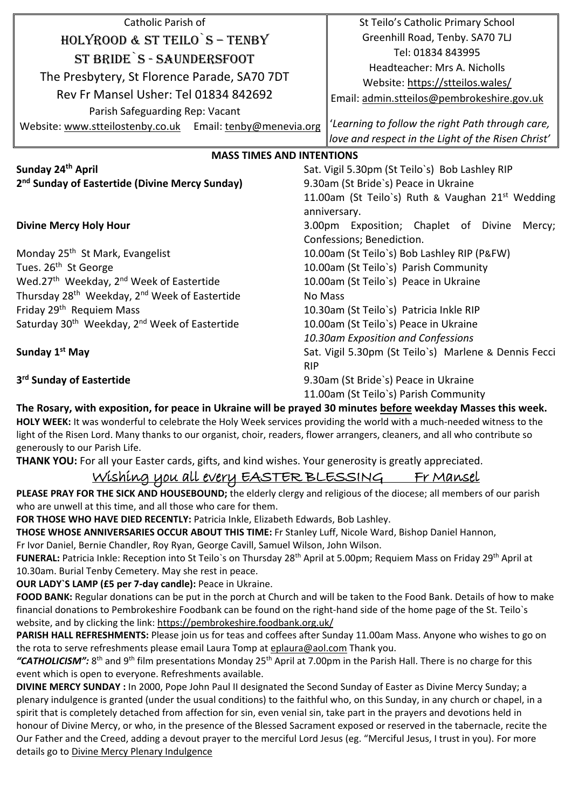| Catholic Parish of                                                    | St Teilo's Catholic Primary School                           |
|-----------------------------------------------------------------------|--------------------------------------------------------------|
| HOLYROOD & ST TEILO S - TENBY                                         | Greenhill Road, Tenby. SA70 7LJ                              |
|                                                                       | Tel: 01834 843995                                            |
| ST BRIDE S - SAUNDERSFOOT                                             | Headteacher: Mrs A. Nicholls                                 |
| The Presbytery, St Florence Parade, SA70 7DT                          | Website: https://stteilos.wales/                             |
| Rev Fr Mansel Usher: Tel 01834 842692                                 | Email: admin.stteilos@pembrokeshire.gov.uk                   |
| Parish Safeguarding Rep: Vacant                                       |                                                              |
| Website: www.stteilostenby.co.uk Email: tenby@menevia.org             | 'Learning to follow the right Path through care,             |
|                                                                       | love and respect in the Light of the Risen Christ'           |
| <b>MASS TIMES AND INTENTIONS</b>                                      |                                                              |
| Sunday 24 <sup>th</sup> April                                         | Sat. Vigil 5.30pm (St Teilo's) Bob Lashley RIP               |
| 2 <sup>nd</sup> Sunday of Eastertide (Divine Mercy Sunday)            | 9.30am (St Bride's) Peace in Ukraine                         |
|                                                                       | 11.00am (St Teilo's) Ruth & Vaughan 21 <sup>st</sup> Wedding |
|                                                                       | anniversary.                                                 |
| <b>Divine Mercy Holy Hour</b>                                         | 3.00pm Exposition; Chaplet of Divine<br>Mercy;               |
|                                                                       | Confessions; Benediction.                                    |
| Monday 25 <sup>th</sup> St Mark, Evangelist                           | 10.00am (St Teilo's) Bob Lashley RIP (P&FW)                  |
| Tues. 26 <sup>th</sup> St George                                      | 10.00am (St Teilo's) Parish Community                        |
| Wed.27 <sup>th</sup> Weekday, 2 <sup>nd</sup> Week of Eastertide      | 10.00am (St Teilo's) Peace in Ukraine                        |
| Thursday 28 <sup>th</sup> Weekday, 2 <sup>nd</sup> Week of Eastertide | No Mass                                                      |
| Friday 29 <sup>th</sup> Requiem Mass                                  | 10.30am (St Teilo's) Patricia Inkle RIP                      |
| Saturday 30 <sup>th</sup> Weekday, 2 <sup>nd</sup> Week of Eastertide | 10.00am (St Teilo's) Peace in Ukraine                        |
|                                                                       | 10.30am Exposition and Confessions                           |
| Sunday 1 <sup>st</sup> May                                            | Sat. Vigil 5.30pm (St Teilo's) Marlene & Dennis Fecci        |
| <b>RIP</b>                                                            |                                                              |
| 3 <sup>rd</sup> Sunday of Eastertide                                  | 9.30am (St Bride's) Peace in Ukraine                         |
|                                                                       | 11.00am (St Teilo's) Parish Community                        |

**The Rosary, with exposition, for peace in Ukraine will be prayed 30 minutes before weekday Masses this week. HOLY WEEK:** It was wonderful to celebrate the Holy Week services providing the world with a much-needed witness to the light of the Risen Lord. Many thanks to our organist, choir, readers, flower arrangers, cleaners, and all who contribute so generously to our Parish Life.

**THANK YOU:** For all your Easter cards, gifts, and kind wishes. Your generosity is greatly appreciated.

# Wishing you all every EASTER BLESSING Fr Mansel

**PLEASE PRAY FOR THE SICK AND HOUSEBOUND;** the elderly clergy and religious of the diocese; all members of our parish who are unwell at this time, and all those who care for them.

**FOR THOSE WHO HAVE DIED RECENTLY:** Patricia Inkle, Elizabeth Edwards, Bob Lashley.

**THOSE WHOSE ANNIVERSARIES OCCUR ABOUT THIS TIME:** Fr Stanley Luff, Nicole Ward, Bishop Daniel Hannon,

Fr Ivor Daniel, Bernie Chandler, Roy Ryan, George Cavill, Samuel Wilson, John Wilson.

FUNERAL: Patricia Inkle: Reception into St Teilo's on Thursday 28<sup>th</sup> April at 5.00pm; Requiem Mass on Friday 29<sup>th</sup> April at 10.30am. Burial Tenby Cemetery. May she rest in peace.

**OUR LADY`S LAMP (£5 per 7-day candle):** Peace in Ukraine.

**FOOD BANK:** Regular donations can be put in the porch at Church and will be taken to the Food Bank. Details of how to make financial donations to Pembrokeshire Foodbank can be found on the right-hand side of the home page of the St. Teilo`s website, and by clicking the link: https://pembrokeshire.foodbank.org.uk/

**PARISH HALL REFRESHMENTS:** Please join us for teas and coffees after Sunday 11.00am Mass. Anyone who wishes to go on the rota to serve refreshments please email Laura Tomp at [eplaura@aol.com](mailto:eplaura@aol.com) Thank you.

"CATHOLICISM": 8<sup>th</sup> and 9<sup>th</sup> film presentations Monday 25<sup>th</sup> April at 7.00pm in the Parish Hall. There is no charge for this event which is open to everyone. Refreshments available.

**DIVINE MERCY SUNDAY :** In 2000, Pope John Paul II designated the Second Sunday of Easter as Divine Mercy Sunday; a plenary indulgence is granted (under the usual conditions) to the faithful who, on this Sunday, in any church or chapel, in a spirit that is completely detached from affection for sin, even venial sin, take part in the prayers and devotions held in honour of Divine Mercy, or who, in the presence of the Blessed Sacrament exposed or reserved in the tabernacle, recite the Our Father and the Creed, adding a devout prayer to the merciful Lord Jesus (eg. "Merciful Jesus, I trust in you). For more details go to [Divine Mercy Plenary Indulgence](https://www.thedivinemercy.org/articles/mercy-sundays-special-graces-plenary-indulgence-are-they-same)